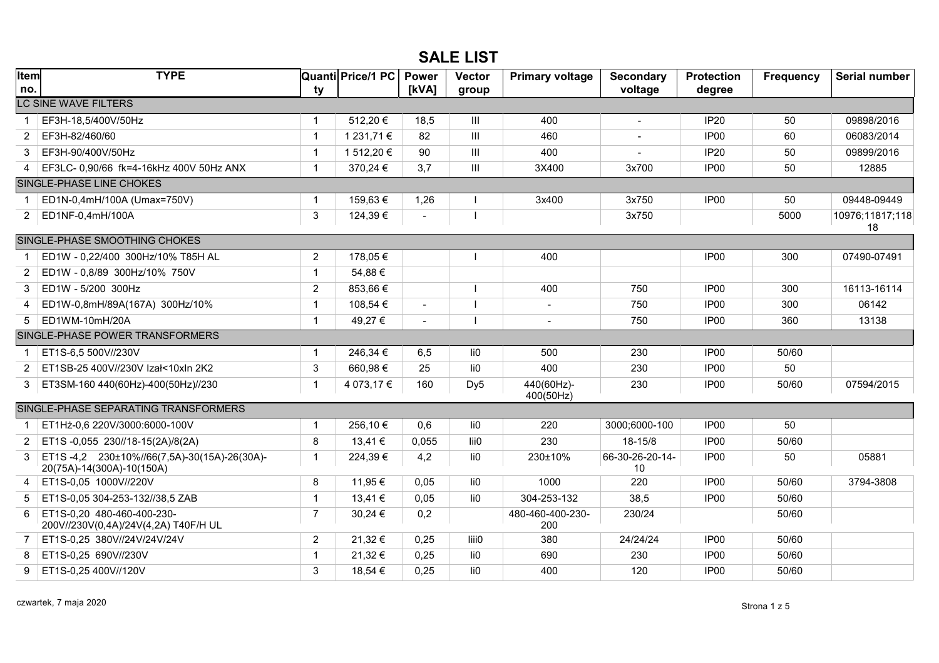## **SALE LIST**

| <b>Item</b><br>no. | <b>TYPE</b>                                                              |                | Quanti Price/1 PC | <b>Power</b><br>[kVA] | <b>Vector</b>                      | <b>Primary voltage</b>  | <b>Secondary</b><br>voltage | <b>Protection</b><br>degree | <b>Frequency</b> | Serial number   |  |  |  |
|--------------------|--------------------------------------------------------------------------|----------------|-------------------|-----------------------|------------------------------------|-------------------------|-----------------------------|-----------------------------|------------------|-----------------|--|--|--|
|                    | ty<br>group<br><b>LC SINE WAVE FILTERS</b>                               |                |                   |                       |                                    |                         |                             |                             |                  |                 |  |  |  |
|                    | EF3H-18,5/400V/50Hz                                                      | $\mathbf 1$    | 512,20€           | 18,5                  | $\mathbf{III}$                     | 400                     | $\sim$                      | <b>IP20</b>                 | 50               | 09898/2016      |  |  |  |
| 2                  | EF3H-82/460/60                                                           | $\mathbf{1}$   | 1 231.71 €        | 82                    | $\mathbf{III}$                     | 460                     |                             | IP <sub>00</sub>            | 60               | 06083/2014      |  |  |  |
| 3                  | EF3H-90/400V/50Hz                                                        | $\mathbf{1}$   | 1 512,20 €        | 90                    | $\mathop{\rm III}$                 | 400                     |                             | <b>IP20</b>                 | 50               | 09899/2016      |  |  |  |
| 4                  | EF3LC- 0,90/66 fk=4-16kHz 400V 50Hz ANX                                  | $\mathbf{1}$   | 370,24 €          | 3,7                   | $\ensuremath{\mathsf{III}}\xspace$ | 3X400                   | 3x700                       | IP <sub>00</sub>            | 50               | 12885           |  |  |  |
|                    | SINGLE-PHASE LINE CHOKES                                                 |                |                   |                       |                                    |                         |                             |                             |                  |                 |  |  |  |
| -1                 | ED1N-0,4mH/100A (Umax=750V)                                              | 1              | 159,63€           | 1,26                  |                                    | 3x400                   | 3x750                       | IP <sub>00</sub>            | 50               | 09448-09449     |  |  |  |
| 2                  | ED1NF-0,4mH/100A                                                         | 3              | 124,39€           | $\sim$                |                                    |                         | 3x750                       |                             | 5000             | 10976;11817;118 |  |  |  |
|                    |                                                                          |                |                   |                       |                                    |                         |                             |                             |                  | 18              |  |  |  |
|                    | SINGLE-PHASE SMOOTHING CHOKES                                            |                |                   |                       |                                    |                         |                             |                             |                  |                 |  |  |  |
| -1                 | ED1W - 0.22/400 300Hz/10% T85H AL                                        | $\overline{2}$ | 178,05€           |                       |                                    | 400                     |                             | IP <sub>00</sub>            | 300              | 07490-07491     |  |  |  |
| 2                  | ED1W - 0,8/89 300Hz/10% 750V                                             | $\mathbf{1}$   | 54,88€            |                       |                                    |                         |                             |                             |                  |                 |  |  |  |
| 3                  | ED1W - 5/200 300Hz                                                       | $\overline{2}$ | 853,66€           |                       |                                    | 400                     | 750                         | IP <sub>00</sub>            | 300              | 16113-16114     |  |  |  |
| 4                  | ED1W-0,8mH/89A(167A) 300Hz/10%                                           | $\mathbf 1$    | 108,54 €          | $\sim$                |                                    | $\blacksquare$          | 750                         | IP <sub>00</sub>            | 300              | 06142           |  |  |  |
| 5                  | ED1WM-10mH/20A                                                           | $\mathbf{1}$   | 49,27€            | $\sim$                |                                    | $\blacksquare$          | 750                         | IP <sub>00</sub>            | 360              | 13138           |  |  |  |
|                    | SINGLE-PHASE POWER TRANSFORMERS                                          |                |                   |                       |                                    |                         |                             |                             |                  |                 |  |  |  |
| -1                 | ET1S-6,5 500V//230V                                                      | $\mathbf 1$    | 246,34 €          | 6,5                   | li0                                | 500                     | 230                         | IP <sub>00</sub>            | 50/60            |                 |  |  |  |
| $\overline{2}$     | ET1SB-25 400V//230V Izał<10xln 2K2                                       | 3              | 660,98€           | 25                    | li <sub>0</sub>                    | 400                     | 230                         | IP <sub>00</sub>            | 50               |                 |  |  |  |
| 3                  | ET3SM-160 440(60Hz)-400(50Hz)//230                                       | $\mathbf{1}$   | 4 073,17 €        | 160                   | Dy <sub>5</sub>                    | 440(60Hz)-<br>400(50Hz) | 230                         | IP <sub>00</sub>            | 50/60            | 07594/2015      |  |  |  |
|                    | SINGLE-PHASE SEPARATING TRANSFORMERS                                     |                |                   |                       |                                    |                         |                             |                             |                  |                 |  |  |  |
|                    | ET1Hż-0,6 220V/3000:6000-100V                                            | $\mathbf{1}$   | 256,10€           | 0,6                   | li0                                | 220                     | 3000;6000-100               | IP <sub>00</sub>            | 50               |                 |  |  |  |
| 2                  | ET1S-0,055 230//18-15(2A)/8(2A)                                          | 8              | 13,41 €           | 0,055                 | lii0                               | 230                     | 18-15/8                     | IP <sub>00</sub>            | 50/60            |                 |  |  |  |
| 3                  | ET1S-4,2 230±10%//66(7,5A)-30(15A)-26(30A)-<br>20(75A)-14(300A)-10(150A) | $\mathbf{1}$   | 224,39€           | 4,2                   | li0                                | 230±10%                 | 66-30-26-20-14-<br>10       | IP <sub>00</sub>            | 50               | 05881           |  |  |  |
| 4                  | ET1S-0.05 1000V//220V                                                    | 8              | 11,95 €           | 0,05                  | li0                                | 1000                    | 220                         | IP <sub>00</sub>            | 50/60            | 3794-3808       |  |  |  |
| 5                  | ET1S-0,05 304-253-132//38,5 ZAB                                          | $\mathbf{1}$   | 13,41 €           | 0,05                  | li <sub>0</sub>                    | 304-253-132             | 38,5                        | IP <sub>00</sub>            | 50/60            |                 |  |  |  |
| 6                  | ET1S-0,20 480-460-400-230-<br>200V//230V(0,4A)/24V(4,2A) T40F/H UL       | $\overline{7}$ | 30,24 €           | 0,2                   |                                    | 480-460-400-230-<br>200 | 230/24                      |                             | 50/60            |                 |  |  |  |
| 7                  | ET1S-0,25 380V//24V/24V/24V                                              | 2              | 21,32€            | 0,25                  | liii0                              | 380                     | 24/24/24                    | IP <sub>00</sub>            | 50/60            |                 |  |  |  |
| 8                  | ET1S-0,25 690V//230V                                                     | $\mathbf 1$    | 21,32 €           | 0,25                  | li <sub>0</sub>                    | 690                     | 230                         | IP <sub>00</sub>            | 50/60            |                 |  |  |  |
| 9                  | ET1S-0,25 400V//120V                                                     | 3              | 18,54 €           | 0,25                  | li0                                | 400                     | 120                         | IP <sub>00</sub>            | 50/60            |                 |  |  |  |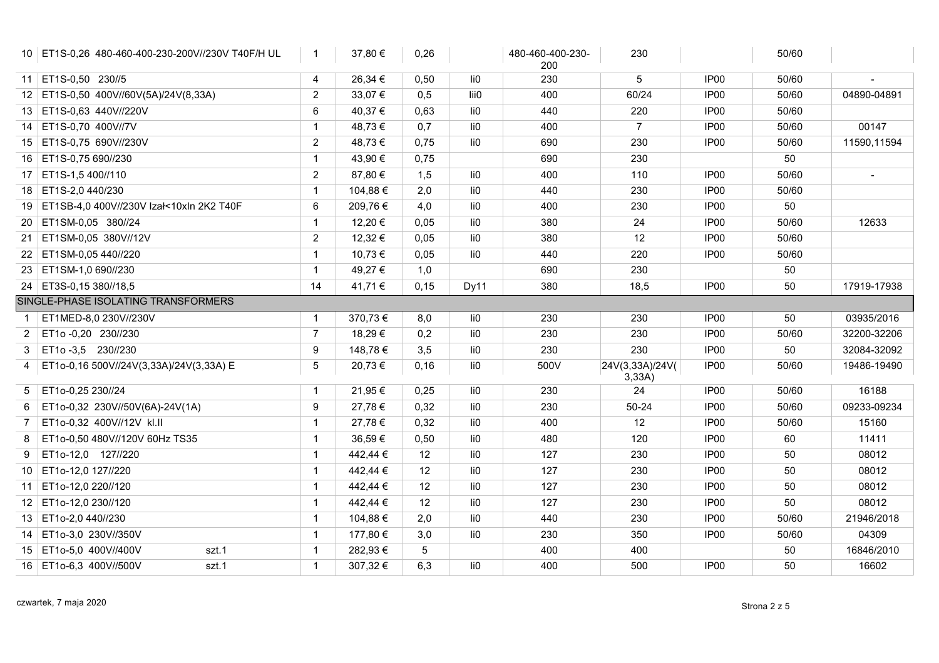|                | 10   ET1S-0,26 480-460-400-230-200V//230V T40F/H UL | $\mathbf{1}$   | 37,80 €  | 0,26 |      | 480-460-400-230-<br>200 | 230                       |                  | 50/60 |             |
|----------------|-----------------------------------------------------|----------------|----------|------|------|-------------------------|---------------------------|------------------|-------|-------------|
|                | 11 ET1S-0,50 230//5                                 | 4              | 26,34 €  | 0,50 | li0  | 230                     | 5                         | IP <sub>00</sub> | 50/60 |             |
|                | 12 ET1S-0,50 400V//60V(5A)/24V(8,33A)               | $\overline{2}$ | 33,07€   | 0,5  | lii0 | 400                     | 60/24                     | IP <sub>00</sub> | 50/60 | 04890-04891 |
|                | 13 ET1S-0,63 440V//220V                             | 6              | 40,37€   | 0,63 | li0  | 440                     | 220                       | IP <sub>00</sub> | 50/60 |             |
|                | 14 ET1S-0,70 400V//7V                               | $\mathbf{1}$   | 48,73€   | 0,7  | li0  | 400                     | $\overline{7}$            | IP <sub>00</sub> | 50/60 | 00147       |
|                | 15 ET1S-0,75 690V//230V                             | $\overline{2}$ | 48,73€   | 0,75 | li0  | 690                     | 230                       | IP <sub>00</sub> | 50/60 | 11590,11594 |
|                | 16 ET1S-0,75 690//230                               | $\mathbf{1}$   | 43,90 €  | 0,75 |      | 690                     | 230                       |                  | 50    |             |
|                | 17 ET1S-1,5 400//110                                | $\overline{2}$ | 87,80 €  | 1,5  | li0  | 400                     | 110                       | IP <sub>00</sub> | 50/60 |             |
|                | 18 ET1S-2,0 440/230                                 | $\mathbf{1}$   | 104,88 € | 2,0  | li0  | 440                     | 230                       | IP <sub>00</sub> | 50/60 |             |
|                | 19 ET1SB-4,0 400V//230V Izał<10xln 2K2 T40F         | 6              | 209,76€  | 4,0  | li0  | 400                     | 230                       | IP <sub>00</sub> | 50    |             |
|                | 20 ET1SM-0,05 380//24                               | $\mathbf{1}$   | 12,20 €  | 0,05 | li0  | 380                     | 24                        | IP <sub>00</sub> | 50/60 | 12633       |
|                | 21 ET1SM-0,05 380V//12V                             | $\overline{2}$ | 12,32 €  | 0,05 | li0  | 380                     | 12                        | IP <sub>00</sub> | 50/60 |             |
|                | 22 ET1SM-0,05 440//220                              | $\mathbf{1}$   | 10,73 €  | 0,05 | li0  | 440                     | 220                       | IP00             | 50/60 |             |
|                | 23 ET1SM-1,0 690//230                               | $\mathbf{1}$   | 49,27€   | 1,0  |      | 690                     | 230                       |                  | 50    |             |
|                | 24 ET3S-0,15 380//18,5                              | 14             | 41,71 €  | 0,15 | Dy11 | 380                     | 18,5                      | IP00             | 50    | 17919-17938 |
|                | SINGLE-PHASE ISOLATING TRANSFORMERS                 |                |          |      |      |                         |                           |                  |       |             |
|                | ET1MED-8,0 230V//230V                               | $\mathbf{1}$   | 370,73€  | 8,0  | li0  | 230                     | 230                       | IP00             | 50    | 03935/2016  |
| $\overline{2}$ | ET1o-0,20 230//230                                  | $\overline{7}$ | 18,29€   | 0,2  | li0  | 230                     | 230                       | IP00             | 50/60 | 32200-32206 |
| 3              | ET1o-3,5 230//230                                   | 9              | 148,78 € | 3,5  | li0  | 230                     | 230                       | IP00             | 50    | 32084-32092 |
| 4              | ET1o-0,16 500V//24V(3,33A)/24V(3,33A) E             | 5              | 20,73€   | 0,16 | li0  | 500V                    | 24V(3,33A)/24V(<br>3,33A) | IP00             | 50/60 | 19486-19490 |
| 5              | ET1o-0,25 230//24                                   | $\mathbf{1}$   | 21,95€   | 0,25 | li0  | 230                     | 24                        | IP00             | 50/60 | 16188       |
| 6              | ET1o-0,32 230V//50V(6A)-24V(1A)                     | 9              | 27,78€   | 0,32 | li0  | 230                     | $50 - 24$                 | IP <sub>00</sub> | 50/60 | 09233-09234 |
| 7              | ET1o-0,32 400V//12V kl.II                           | $\mathbf{1}$   | 27,78€   | 0,32 | li0  | 400                     | 12                        | IP00             | 50/60 | 15160       |
| 8              | ET1o-0,50 480V//120V 60Hz TS35                      | $\mathbf{1}$   | 36,59€   | 0,50 | li0  | 480                     | 120                       | IP <sub>00</sub> | 60    | 11411       |
| 9              | ET1o-12,0 127//220                                  | $\mathbf{1}$   | 442,44 € | 12   | li0  | 127                     | 230                       | IP <sub>00</sub> | 50    | 08012       |
|                | 10 ET1o-12,0 127//220                               | $\mathbf{1}$   | 442,44 € | 12   | li0  | 127                     | 230                       | IP00             | 50    | 08012       |
|                | 11 ET1o-12,0 220//120                               | $\mathbf{1}$   | 442,44 € | 12   | li0  | 127                     | 230                       | IP00             | 50    | 08012       |
|                | 12   ET1o-12,0 230//120                             | $\mathbf{1}$   | 442,44 € | 12   | li0  | 127                     | 230                       | IP00             | 50    | 08012       |
|                | 13 ET1o-2,0 440//230                                | $\mathbf{1}$   | 104,88 € | 2,0  | li0  | 440                     | 230                       | IP <sub>00</sub> | 50/60 | 21946/2018  |
|                | 14 ET1o-3,0 230V//350V                              | $\mathbf{1}$   | 177,80 € | 3,0  | li0  | 230                     | 350                       | IP <sub>00</sub> | 50/60 | 04309       |
|                | 15 ET1o-5,0 400V//400V<br>szt.1                     | $\mathbf{1}$   | 282,93€  | 5    |      | 400                     | 400                       |                  | 50    | 16846/2010  |
|                | 16 ET1o-6,3 400V//500V<br>szt.1                     | $\mathbf{1}$   | 307,32€  | 6,3  | li0  | 400                     | 500                       | IP00             | 50    | 16602       |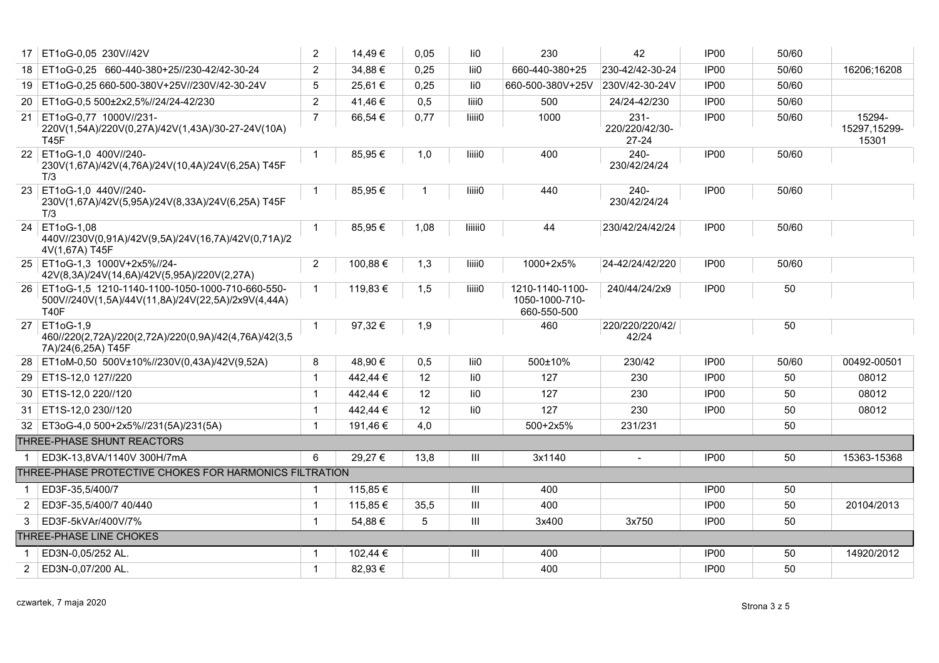| 17             | ET1oG-0.05 230V//42V                                                                                                    | $\overline{2}$ | 14,49€   | 0,05 | li0                | 230                                              | 42                                     | IP <sub>00</sub> | 50/60 |                                 |
|----------------|-------------------------------------------------------------------------------------------------------------------------|----------------|----------|------|--------------------|--------------------------------------------------|----------------------------------------|------------------|-------|---------------------------------|
|                | 18 ET1oG-0,25 660-440-380+25//230-42/42-30-24                                                                           | $\overline{2}$ | 34,88€   | 0,25 | lii0               | 660-440-380+25                                   | 230-42/42-30-24                        | IP00             | 50/60 | 16206;16208                     |
|                | 19 ET1oG-0.25 660-500-380V+25V//230V/42-30-24V                                                                          | 5              | 25.61 €  | 0,25 | li0                | 660-500-380V+25V                                 | 230V/42-30-24V                         | IP <sub>00</sub> | 50/60 |                                 |
|                | 20 ET1oG-0,5 500±2x2,5%//24/24-42/230                                                                                   | $\overline{2}$ | 41,46€   | 0,5  | liii0              | 500                                              | 24/24-42/230                           | IP00             | 50/60 |                                 |
| 21             | ET1oG-0,77 1000V//231-<br>220V(1,54A)/220V(0,27A)/42V(1,43A)/30-27-24V(10A)<br><b>T45F</b>                              | $\overline{7}$ | 66,54 €  | 0,77 | liiii0             | 1000                                             | $231 -$<br>220/220/42/30-<br>$27 - 24$ | IP00             | 50/60 | 15294-<br>15297,15299-<br>15301 |
|                | 22 ET1oG-1,0 400V//240-<br>230V(1,67A)/42V(4,76A)/24V(10,4A)/24V(6,25A) T45F<br>T/3                                     |                | 85,95€   | 1,0  | liiii0             | 400                                              | $240 -$<br>230/42/24/24                | IP00             | 50/60 |                                 |
|                | 23 ET1oG-1,0 440V//240-<br>230V(1,67A)/42V(5,95A)/24V(8,33A)/24V(6,25A) T45F<br>T/3                                     |                | 85,95€   |      | liiii0             | 440                                              | $240-$<br>230/42/24/24                 | IP <sub>00</sub> | 50/60 |                                 |
|                | 24 ET1oG-1.08<br>440V//230V(0,91A)/42V(9,5A)/24V(16,7A)/42V(0,71A)/2<br>4V(1,67A) T45F                                  |                | 85,95€   | 1,08 | <b>liiiii0</b>     | 44                                               | 230/42/24/42/24                        | IP <sub>00</sub> | 50/60 |                                 |
|                | 25 ET1oG-1,3 1000V+2x5%//24-<br>42V(8,3A)/24V(14,6A)/42V(5,95A)/220V(2,27A)                                             | $\overline{2}$ | 100,88 € | 1,3  | liiii0             | 1000+2x5%                                        | 24-42/24/42/220                        | IP <sub>00</sub> | 50/60 |                                 |
|                | 26 ET1oG-1,5 1210-1140-1100-1050-1000-710-660-550-<br>500V//240V(1,5A)/44V(11,8A)/24V(22,5A)/2x9V(4,44A)<br><b>T40F</b> |                | 119,83 € | 1,5  | liiii0             | 1210-1140-1100-<br>1050-1000-710-<br>660-550-500 | 240/44/24/2x9                          | IP <sub>00</sub> | 50    |                                 |
|                | 27 ET1oG-1,9<br>460//220(2,72A)/220(2,72A)/220(0,9A)/42(4,76A)/42(3,5<br>7A)/24(6,25A) T45F                             |                | 97,32€   | 1,9  |                    | 460                                              | 220/220/220/42/<br>42/24               |                  | 50    |                                 |
|                | 28 ET1oM-0,50 500V±10%//230V(0,43A)/42V(9,52A)                                                                          | 8              | 48,90 €  | 0,5  | lii0               | 500±10%                                          | 230/42                                 | IP <sub>00</sub> | 50/60 | 00492-00501                     |
|                | 29 ET1S-12,0 127//220                                                                                                   | $\mathbf{1}$   | 442,44 € | 12   | li0                | 127                                              | 230                                    | IP <sub>00</sub> | 50    | 08012                           |
|                | 30   ET1S-12,0 220//120                                                                                                 | $\mathbf{1}$   | 442,44 € | 12   | li0                | 127                                              | 230                                    | IP <sub>00</sub> | 50    | 08012                           |
| 31             | ET1S-12,0 230//120                                                                                                      | $\mathbf{1}$   | 442,44 € | 12   | li0                | 127                                              | 230                                    | IP <sub>00</sub> | 50    | 08012                           |
|                | 32 ET3oG-4,0 500+2x5%//231(5A)/231(5A)                                                                                  | $\mathbf{1}$   | 191,46 € | 4,0  |                    | 500+2x5%                                         | 231/231                                |                  | 50    |                                 |
|                | THREE-PHASE SHUNT REACTORS                                                                                              |                |          |      |                    |                                                  |                                        |                  |       |                                 |
|                | ED3K-13,8VA/1140V 300H/7mA                                                                                              | 6              | 29,27€   | 13,8 | Ш                  | 3x1140                                           |                                        | IP <sub>00</sub> | 50    | 15363-15368                     |
|                | THREE-PHASE PROTECTIVE CHOKES FOR HARMONICS FILTRATION                                                                  |                |          |      |                    |                                                  |                                        |                  |       |                                 |
| -1             | ED3F-35.5/400/7                                                                                                         | -1             | 115,85 € |      | Ш                  | 400                                              |                                        | IP <sub>00</sub> | 50    |                                 |
| 2              | ED3F-35.5/400/7 40/440                                                                                                  | $\mathbf{1}$   | 115.85 € | 35,5 | Ш                  | 400                                              |                                        | IP <sub>00</sub> | 50    | 20104/2013                      |
| 3              | ED3F-5kVAr/400V/7%                                                                                                      | $\mathbf{1}$   | 54,88€   | 5    | $\mathop{\rm III}$ | 3x400                                            | 3x750                                  | IP00             | 50    |                                 |
|                | THREE-PHASE LINE CHOKES                                                                                                 |                |          |      |                    |                                                  |                                        |                  |       |                                 |
|                | ED3N-0.05/252 AL.                                                                                                       |                | 102,44 € |      | III                | 400                                              |                                        | IP <sub>00</sub> | 50    | 14920/2012                      |
| $\overline{2}$ | ED3N-0,07/200 AL.                                                                                                       | $\mathbf{1}$   | 82,93€   |      |                    | 400                                              |                                        | IP00             | 50    |                                 |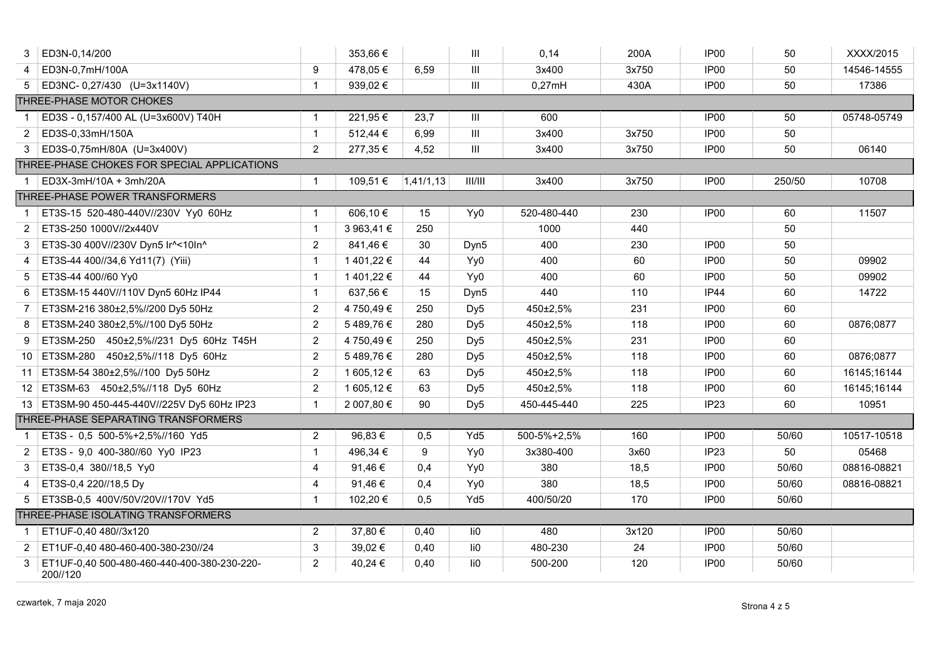|                | ED3N-0,14/200                                           |                | 353,66 €   |           | Ш                                  | 0,14        | 200A  | IP <sub>00</sub> | 50     | XXXX/2015   |  |  |
|----------------|---------------------------------------------------------|----------------|------------|-----------|------------------------------------|-------------|-------|------------------|--------|-------------|--|--|
| 4              | ED3N-0,7mH/100A                                         | 9              | 478,05€    | 6,59      | $\mathop{\rm III}$                 | 3x400       | 3x750 | IP <sub>00</sub> | 50     | 14546-14555 |  |  |
| 5              | ED3NC-0,27/430 (U=3x1140V)                              | $\mathbf{1}$   | 939,02€    |           | $\mathop{\rm III}$                 | 0,27mH      | 430A  | IP <sub>00</sub> | 50     | 17386       |  |  |
|                | THREE-PHASE MOTOR CHOKES                                |                |            |           |                                    |             |       |                  |        |             |  |  |
|                | ED3S - 0,157/400 AL (U=3x600V) T40H                     | $\mathbf{1}$   | 221,95€    | 23,7      | $\mathop{\rm III}$                 | 600         |       | IP <sub>00</sub> | 50     | 05748-05749 |  |  |
| 2              | ED3S-0,33mH/150A                                        | $\mathbf{1}$   | 512,44 €   | 6,99      | $\mathop{\rm III}$                 | 3x400       | 3x750 | IP <sub>00</sub> | 50     |             |  |  |
| 3              | ED3S-0,75mH/80A (U=3x400V)                              | $\overline{2}$ | 277,35 €   | 4,52      | $\ensuremath{\mathsf{III}}\xspace$ | 3x400       | 3x750 | IP <sub>00</sub> | 50     | 06140       |  |  |
|                | THREE-PHASE CHOKES FOR SPECIAL APPLICATIONS             |                |            |           |                                    |             |       |                  |        |             |  |  |
| $\overline{1}$ | ED3X-3mH/10A + 3mh/20A                                  | $\mathbf{1}$   | 109,51 €   | 1,41/1,13 | III/III                            | 3x400       | 3x750 | IP <sub>00</sub> | 250/50 | 10708       |  |  |
|                | THREE-PHASE POWER TRANSFORMERS                          |                |            |           |                                    |             |       |                  |        |             |  |  |
| -1             | ET3S-15 520-480-440V//230V Yy0 60Hz                     | $\mathbf{1}$   | 606,10€    | 15        | Yy0                                | 520-480-440 | 230   | IP <sub>00</sub> | 60     | 11507       |  |  |
| $\overline{2}$ | ET3S-250 1000V//2x440V                                  | $\mathbf{1}$   | 3 963,41 € | 250       |                                    | 1000        | 440   |                  | 50     |             |  |  |
| 3              | ET3S-30 400V//230V Dyn5 Ir^<10In^                       | $\overline{2}$ | 841,46€    | 30        | Dyn <sub>5</sub>                   | 400         | 230   | IP <sub>00</sub> | 50     |             |  |  |
| 4              | ET3S-44 400//34,6 Yd11(7) (Yiii)                        | $\mathbf{1}$   | 1 401,22 € | 44        | Yy0                                | 400         | 60    | IP00             | 50     | 09902       |  |  |
| 5              | ET3S-44 400//60 Yy0                                     | $\mathbf{1}$   | 1 401,22 € | 44        | Yy0                                | 400         | 60    | IP <sub>00</sub> | 50     | 09902       |  |  |
| 6              | ET3SM-15 440V//110V Dyn5 60Hz IP44                      | $\mathbf{1}$   | 637,56 €   | 15        | Dyn <sub>5</sub>                   | 440         | 110   | <b>IP44</b>      | 60     | 14722       |  |  |
| 7              | ET3SM-216 380±2,5%//200 Dy5 50Hz                        | $\overline{2}$ | 4 750,49 € | 250       | Dy <sub>5</sub>                    | 450±2,5%    | 231   | IP <sub>00</sub> | 60     |             |  |  |
| 8              | ET3SM-240 380±2,5%//100 Dy5 50Hz                        | $\overline{2}$ | 5489,76€   | 280       | Dy <sub>5</sub>                    | 450±2,5%    | 118   | IP <sub>00</sub> | 60     | 0876;0877   |  |  |
| 9              | ET3SM-250 450±2,5%//231 Dy5 60Hz T45H                   | $\overline{2}$ | 4 750,49 € | 250       | Dy <sub>5</sub>                    | 450±2,5%    | 231   | IP <sub>00</sub> | 60     |             |  |  |
|                | 10 ET3SM-280 450±2,5%//118 Dy5 60Hz                     | $\overline{2}$ | 5489,76€   | 280       | Dy <sub>5</sub>                    | 450±2,5%    | 118   | IP00             | 60     | 0876;0877   |  |  |
|                | 11 ET3SM-54 380±2,5%//100 Dy5 50Hz                      | $\overline{2}$ | 1 605,12 € | 63        | Dy <sub>5</sub>                    | 450±2,5%    | 118   | IP <sub>00</sub> | 60     | 16145;16144 |  |  |
|                | 12 ET3SM-63 450±2,5%//118 Dy5 60Hz                      | $\overline{2}$ | 1 605,12 € | 63        | Dy <sub>5</sub>                    | 450±2,5%    | 118   | IP <sub>00</sub> | 60     | 16145;16144 |  |  |
|                | 13 ET3SM-90 450-445-440V//225V Dy5 60Hz IP23            | $\mathbf{1}$   | 2 007,80 € | 90        | Dy <sub>5</sub>                    | 450-445-440 | 225   | IP <sub>23</sub> | 60     | 10951       |  |  |
|                | THREE-PHASE SEPARATING TRANSFORMERS                     |                |            |           |                                    |             |       |                  |        |             |  |  |
|                | ET3S - 0,5 500-5%+2,5%//160 Yd5                         | $\overline{2}$ | 96,83€     | 0,5       | Yd5                                | 500-5%+2,5% | 160   | IP <sub>00</sub> | 50/60  | 10517-10518 |  |  |
| 2              | ET3S - 9,0 400-380//60 Yy0 IP23                         | $\mathbf{1}$   | 496,34 €   | 9         | Yy0                                | 3x380-400   | 3x60  | IP <sub>23</sub> | 50     | 05468       |  |  |
| 3              | ET3S-0,4 380//18,5 Yy0                                  | 4              | 91,46€     | 0,4       | Yy0                                | 380         | 18,5  | IP00             | 50/60  | 08816-08821 |  |  |
| 4              | ET3S-0,4 220//18,5 Dy                                   | 4              | 91,46€     | 0,4       | Yy0                                | 380         | 18,5  | IP <sub>00</sub> | 50/60  | 08816-08821 |  |  |
| 5              | ET3SB-0,5 400V/50V/20V//170V Yd5                        | $\mathbf{1}$   | 102,20 €   | 0,5       | Yd <sub>5</sub>                    | 400/50/20   | 170   | IP <sub>00</sub> | 50/60  |             |  |  |
|                | THREE-PHASE ISOLATING TRANSFORMERS                      |                |            |           |                                    |             |       |                  |        |             |  |  |
| $\overline{1}$ | ET1UF-0,40 480//3x120                                   | $\overline{2}$ | 37,80 €    | 0,40      | li0                                | 480         | 3x120 | IP <sub>00</sub> | 50/60  |             |  |  |
| 2              | ET1UF-0,40 480-460-400-380-230//24                      | 3              | 39,02€     | 0,40      | li0                                | 480-230     | 24    | IP <sub>00</sub> | 50/60  |             |  |  |
| 3              | ET1UF-0,40 500-480-460-440-400-380-230-220-<br>200//120 | $\overline{2}$ | 40,24 €    | 0,40      | li0                                | 500-200     | 120   | IP <sub>00</sub> | 50/60  |             |  |  |